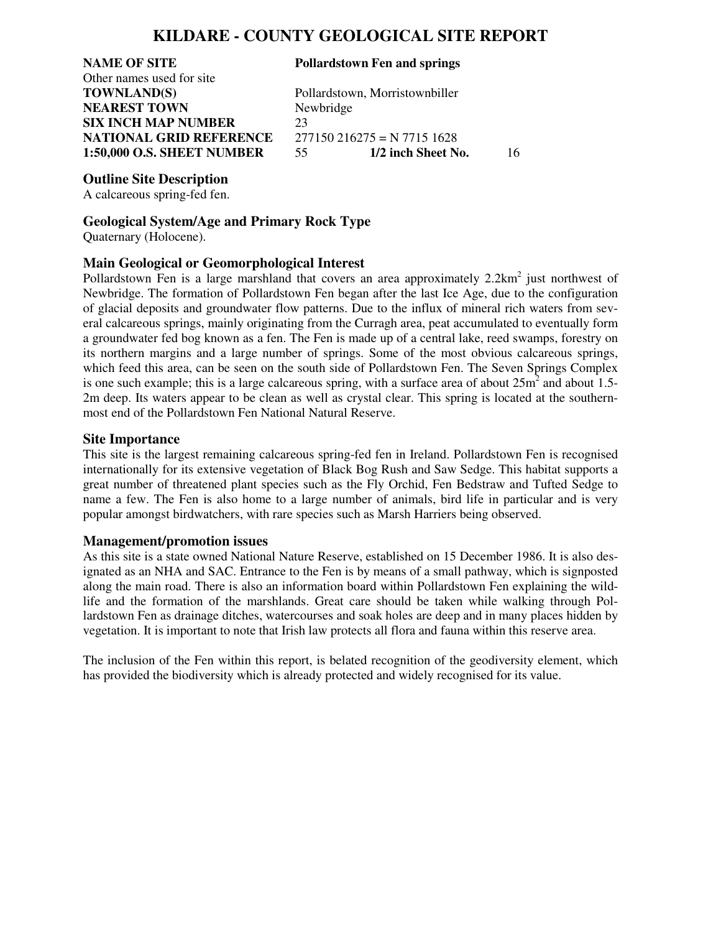### **KILDARE - COUNTY GEOLOGICAL SITE REPORT**

## **NAME OF SITE Pollardstown Fen and springs** Other names used for site **NEAREST TOWN** Newbridge **SIX INCH MAP NUMBER** 23

**TOWNLAND(S)** Pollardstown, Morristownbiller **NATIONAL GRID REFERENCE** 277150 216275 = N 7715 1628 **1:50,000 O.S. SHEET NUMBER** 55 **1/2 inch Sheet No.** 16

#### **Outline Site Description**

A calcareous spring-fed fen.

#### **Geological System/Age and Primary Rock Type**

Quaternary (Holocene).

#### **Main Geological or Geomorphological Interest**

Pollardstown Fen is a large marshland that covers an area approximately 2.2km<sup>2</sup> just northwest of Newbridge. The formation of Pollardstown Fen began after the last Ice Age, due to the configuration of glacial deposits and groundwater flow patterns. Due to the influx of mineral rich waters from several calcareous springs, mainly originating from the Curragh area, peat accumulated to eventually form a groundwater fed bog known as a fen. The Fen is made up of a central lake, reed swamps, forestry on its northern margins and a large number of springs. Some of the most obvious calcareous springs, which feed this area, can be seen on the south side of Pollardstown Fen. The Seven Springs Complex is one such example; this is a large calcareous spring, with a surface area of about  $25m^2$  and about 1.5-2m deep. Its waters appear to be clean as well as crystal clear. This spring is located at the southernmost end of the Pollardstown Fen National Natural Reserve.

#### **Site Importance**

This site is the largest remaining calcareous spring-fed fen in Ireland. Pollardstown Fen is recognised internationally for its extensive vegetation of Black Bog Rush and Saw Sedge. This habitat supports a great number of threatened plant species such as the Fly Orchid, Fen Bedstraw and Tufted Sedge to name a few. The Fen is also home to a large number of animals, bird life in particular and is very popular amongst birdwatchers, with rare species such as Marsh Harriers being observed.

#### **Management/promotion issues**

As this site is a state owned National Nature Reserve, established on 15 December 1986. It is also designated as an NHA and SAC. Entrance to the Fen is by means of a small pathway, which is signposted along the main road. There is also an information board within Pollardstown Fen explaining the wildlife and the formation of the marshlands. Great care should be taken while walking through Pollardstown Fen as drainage ditches, watercourses and soak holes are deep and in many places hidden by vegetation. It is important to note that Irish law protects all flora and fauna within this reserve area.

The inclusion of the Fen within this report, is belated recognition of the geodiversity element, which has provided the biodiversity which is already protected and widely recognised for its value.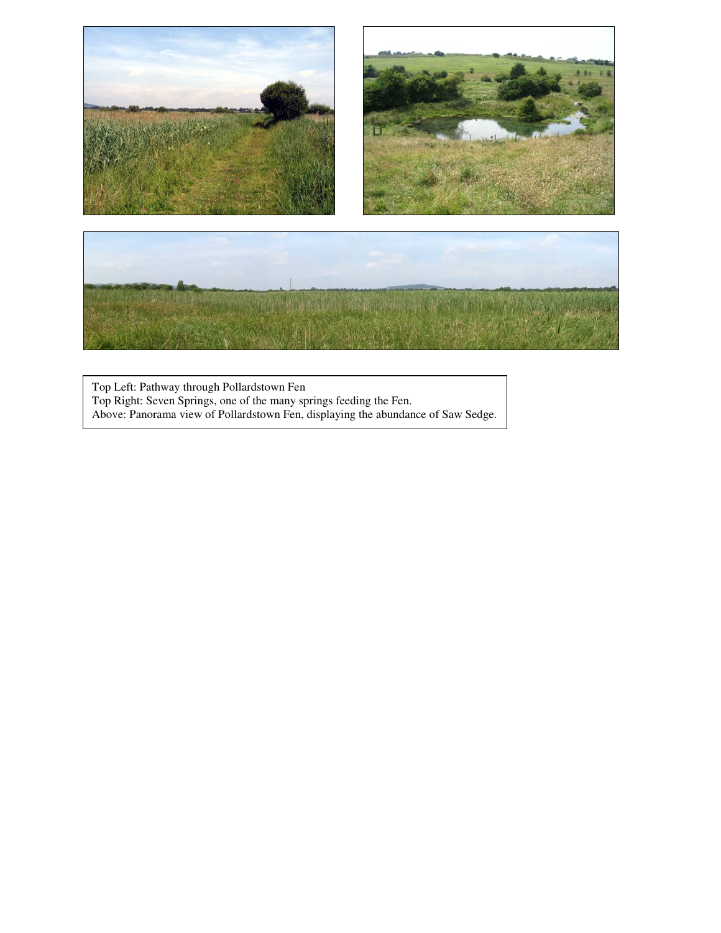

Top Left: Pathway through Pollardstown Fen Top Right: Seven Springs, one of the many springs feeding the Fen. Above: Panorama view of Pollardstown Fen, displaying the abundance of Saw Sedge.